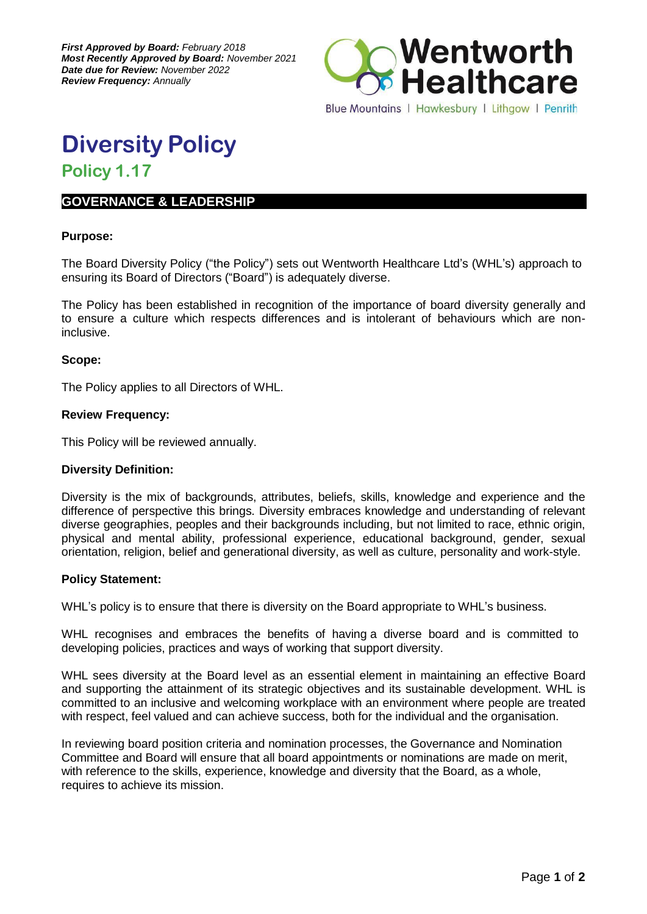

**Diversity Policy**

# **Policy 1.17**

# **GOVERNANCE & LEADERSHIP**

## **Purpose:**

The Board Diversity Policy ("the Policy") sets out Wentworth Healthcare Ltd's (WHL's) approach to ensuring its Board of Directors ("Board") is adequately diverse.

The Policy has been established in recognition of the importance of board diversity generally and to ensure a culture which respects differences and is intolerant of behaviours which are noninclusive.

## **Scope:**

The Policy applies to all Directors of WHL.

## **Review Frequency:**

This Policy will be reviewed annually.

#### **Diversity Definition:**

Diversity is the mix of backgrounds, attributes, beliefs, skills, knowledge and experience and the difference of perspective this brings. Diversity embraces knowledge and understanding of relevant diverse geographies, peoples and their backgrounds including, but not limited to race, ethnic origin, physical and mental ability, professional experience, educational background, gender, sexual orientation, religion, belief and generational diversity, as well as culture, personality and work-style.

#### **Policy Statement:**

WHL's policy is to ensure that there is diversity on the Board appropriate to WHL's business.

WHL recognises and embraces the benefits of having a diverse board and is committed to developing policies, practices and ways of working that support diversity.

WHL sees diversity at the Board level as an essential element in maintaining an effective Board and supporting the attainment of its strategic objectives and its sustainable development. WHL is committed to an inclusive and welcoming workplace with an environment where people are treated with respect, feel valued and can achieve success, both for the individual and the organisation.

In reviewing board position criteria and nomination processes, the Governance and Nomination Committee and Board will ensure that all board appointments or nominations are made on merit, with reference to the skills, experience, knowledge and diversity that the Board, as a whole, requires to achieve its mission.